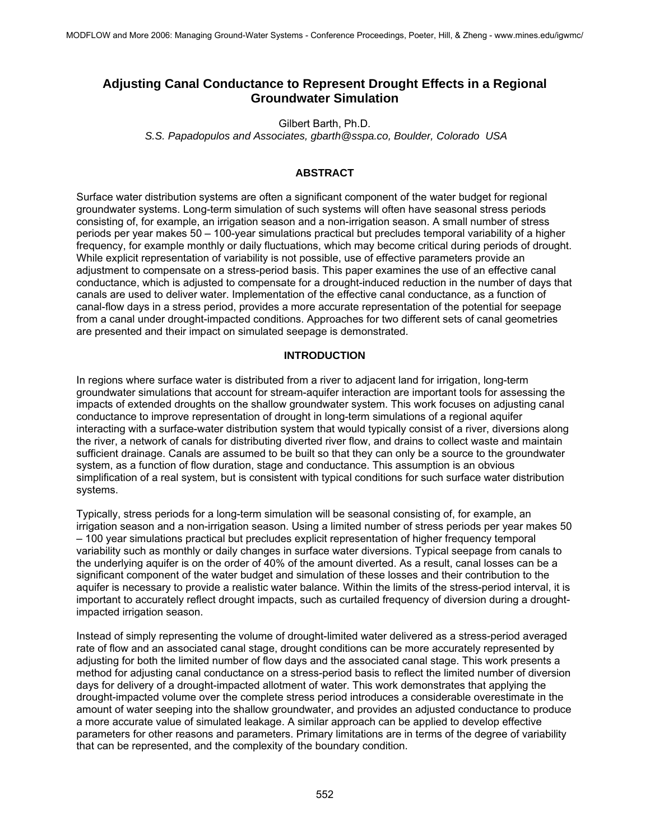# **Adjusting Canal Conductance to Represent Drought Effects in a Regional Groundwater Simulation**

Gilbert Barth, Ph.D.

*S.S. Papadopulos and Associates, gbarth@sspa.co, Boulder, Colorado USA* 

# **ABSTRACT**

Surface water distribution systems are often a significant component of the water budget for regional groundwater systems. Long-term simulation of such systems will often have seasonal stress periods consisting of, for example, an irrigation season and a non-irrigation season. A small number of stress periods per year makes 50 – 100-year simulations practical but precludes temporal variability of a higher frequency, for example monthly or daily fluctuations, which may become critical during periods of drought. While explicit representation of variability is not possible, use of effective parameters provide an adjustment to compensate on a stress-period basis. This paper examines the use of an effective canal conductance, which is adjusted to compensate for a drought-induced reduction in the number of days that canals are used to deliver water. Implementation of the effective canal conductance, as a function of canal-flow days in a stress period, provides a more accurate representation of the potential for seepage from a canal under drought-impacted conditions. Approaches for two different sets of canal geometries are presented and their impact on simulated seepage is demonstrated.

# **INTRODUCTION**

In regions where surface water is distributed from a river to adjacent land for irrigation, long-term groundwater simulations that account for stream-aquifer interaction are important tools for assessing the impacts of extended droughts on the shallow groundwater system. This work focuses on adjusting canal conductance to improve representation of drought in long-term simulations of a regional aquifer interacting with a surface-water distribution system that would typically consist of a river, diversions along the river, a network of canals for distributing diverted river flow, and drains to collect waste and maintain sufficient drainage. Canals are assumed to be built so that they can only be a source to the groundwater system, as a function of flow duration, stage and conductance. This assumption is an obvious simplification of a real system, but is consistent with typical conditions for such surface water distribution systems.

Typically, stress periods for a long-term simulation will be seasonal consisting of, for example, an irrigation season and a non-irrigation season. Using a limited number of stress periods per year makes 50 – 100 year simulations practical but precludes explicit representation of higher frequency temporal variability such as monthly or daily changes in surface water diversions. Typical seepage from canals to the underlying aquifer is on the order of 40% of the amount diverted. As a result, canal losses can be a significant component of the water budget and simulation of these losses and their contribution to the aquifer is necessary to provide a realistic water balance. Within the limits of the stress-period interval, it is important to accurately reflect drought impacts, such as curtailed frequency of diversion during a droughtimpacted irrigation season.

Instead of simply representing the volume of drought-limited water delivered as a stress-period averaged rate of flow and an associated canal stage, drought conditions can be more accurately represented by adjusting for both the limited number of flow days and the associated canal stage. This work presents a method for adjusting canal conductance on a stress-period basis to reflect the limited number of diversion days for delivery of a drought-impacted allotment of water. This work demonstrates that applying the drought-impacted volume over the complete stress period introduces a considerable overestimate in the amount of water seeping into the shallow groundwater, and provides an adjusted conductance to produce a more accurate value of simulated leakage. A similar approach can be applied to develop effective parameters for other reasons and parameters. Primary limitations are in terms of the degree of variability that can be represented, and the complexity of the boundary condition.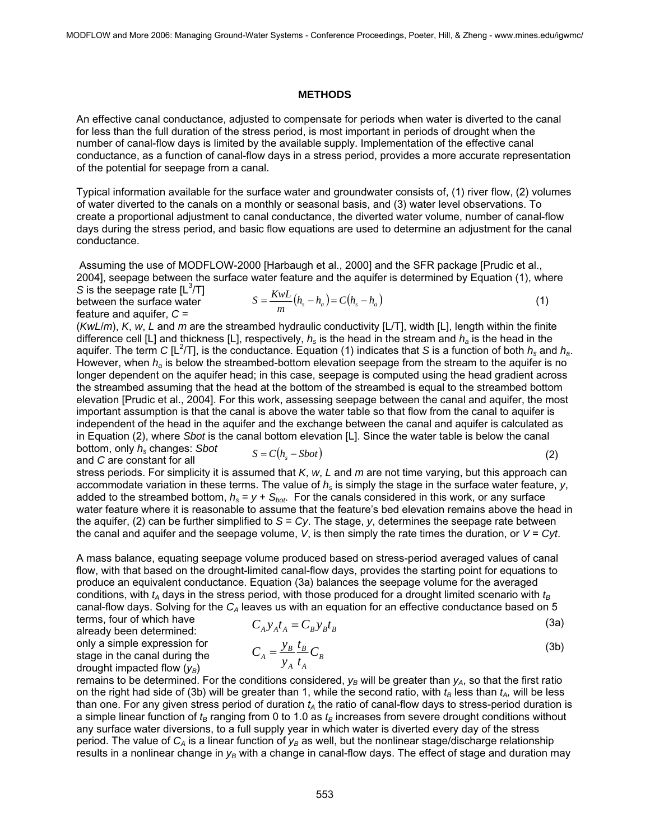### **METHODS**

An effective canal conductance, adjusted to compensate for periods when water is diverted to the canal for less than the full duration of the stress period, is most important in periods of drought when the number of canal-flow days is limited by the available supply. Implementation of the effective canal conductance, as a function of canal-flow days in a stress period, provides a more accurate representation of the potential for seepage from a canal.

Typical information available for the surface water and groundwater consists of, (1) river flow, (2) volumes of water diverted to the canals on a monthly or seasonal basis, and (3) water level observations. To create a proportional adjustment to canal conductance, the diverted water volume, number of canal-flow days during the stress period, and basic flow equations are used to determine an adjustment for the canal conductance.

 Assuming the use of MODFLOW-2000 [Harbaugh et al., 2000] and the SFR package [Prudic et al., 2004], seepage between the surface water feature and the aquifer is determined by Equation (1), where

*S* is the seepage rate  $[L^3/T]$ between the surface water feature and aquifer, *C* =

$$
S = \frac{KwL}{m}(h_s - h_a) = C(h_s - h_a)
$$
\n(1)

(*KwL*/*m*), *K*, *w*, *L* and *m* are the streambed hydraulic conductivity [L/T], width [L], length within the finite difference cell [L] and thickness [L], respectively,  $h_s$  is the head in the stream and  $h_a$  is the head in the aquifer. The term *C* [L<sup>2</sup>/T], is the conductance. Equation (1) indicates that *S* is a function of both  $h_s$  and  $h_a$ . However, when *ha* is below the streambed-bottom elevation seepage from the stream to the aquifer is no longer dependent on the aquifer head; in this case, seepage is computed using the head gradient across the streambed assuming that the head at the bottom of the streambed is equal to the streambed bottom elevation [Prudic et al., 2004]. For this work, assessing seepage between the canal and aquifer, the most important assumption is that the canal is above the water table so that flow from the canal to aquifer is independent of the head in the aquifer and the exchange between the canal and aquifer is calculated as in Equation (2), where *Sbot* is the canal bottom elevation [L]. Since the water table is below the canal bottom, only *hs* changes: *Sbot*

and *C* are constant for all

$$
S = C(h_s - Sbot)
$$
 (2)

stress periods. For simplicity it is assumed that *K*, *w*, *L* and *m* are not time varying, but this approach can accommodate variation in these terms. The value of *hs* is simply the stage in the surface water feature, *y*, added to the streambed bottom,  $h_s = y + S_{bot}$ . For the canals considered in this work, or any surface water feature where it is reasonable to assume that the feature's bed elevation remains above the head in the aquifer, (2) can be further simplified to *S* = *Cy*. The stage, *y*, determines the seepage rate between the canal and aquifer and the seepage volume, *V*, is then simply the rate times the duration, or *V* = *Cyt*.

A mass balance, equating seepage volume produced based on stress-period averaged values of canal flow, with that based on the drought-limited canal-flow days, provides the starting point for equations to produce an equivalent conductance. Equation (3a) balances the seepage volume for the averaged conditions, with  $t_A$  days in the stress period, with those produced for a drought limited scenario with  $t_B$ canal-flow days. Solving for the  $C_A$  leaves us with an equation for an effective conductance based on 5 terms, four of which have

$$
C_A y_A t_A = C_B y_B t_B \tag{3a}
$$

already been determined: only a simple expression for stage in the canal during the drought impacted flow ( $v_B$ )

$$
C_A = \frac{y_B}{y_A} \frac{t_B}{t_A} C_B \tag{3b}
$$

remains to be determined. For the conditions considered,  $y_B$  will be greater than  $y_A$ , so that the first ratio on the right had side of (3b) will be greater than 1, while the second ratio, with  $t_B$  less than  $t_A$ , will be less than one. For any given stress period of duration  $t_A$  the ratio of canal-flow days to stress-period duration is a simple linear function of  $t_B$  ranging from 0 to 1.0 as  $t_B$  increases from severe drought conditions without any surface water diversions, to a full supply year in which water is diverted every day of the stress period. The value of C<sub>A</sub> is a linear function of y<sub>B</sub> as well, but the nonlinear stage/discharge relationship results in a nonlinear change in  $y_B$  with a change in canal-flow days. The effect of stage and duration may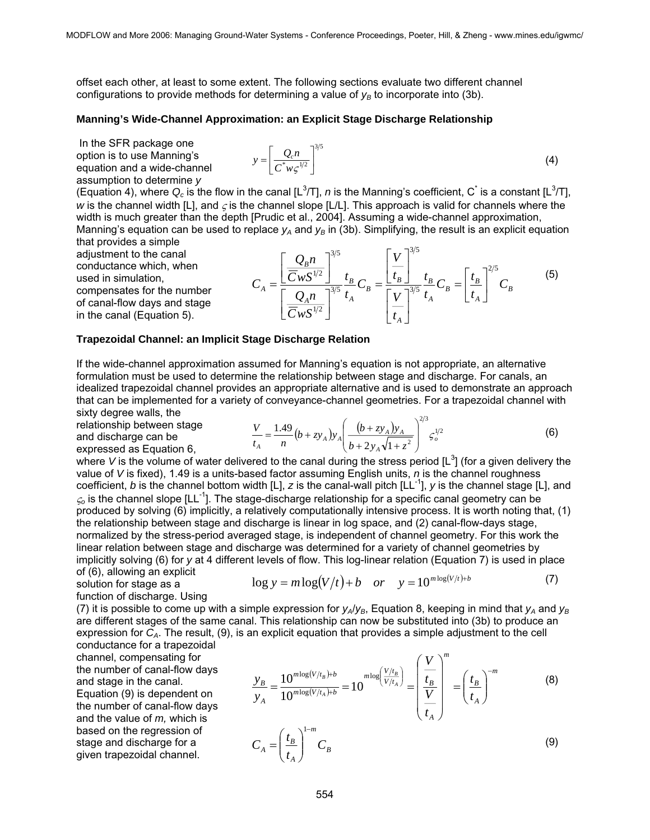offset each other, at least to some extent. The following sections evaluate two different channel configurations to provide methods for determining a value of  $v_B$  to incorporate into (3b).

#### **Manning's Wide-Channel Approximation: an Explicit Stage Discharge Relationship**

 In the SFR package one option is to use Manning's equation and a wide-channel assumption to determine *y*

$$
y = \left[\frac{Q_c n}{C^* w \zeta^{1/2}}\right]^{3/5}
$$
 (4)

(Equation 4), where  $Q_c$  is the flow in the canal [L<sup>3</sup>/T], n is the Manning's coefficient, C<sup>\*</sup> is a constant [L<sup>3</sup>/T], *w* is the channel width [L], and  $\zeta$  is the channel slope [L/L]. This approach is valid for channels where the width is much greater than the depth [Prudic et al., 2004]. Assuming a wide-channel approximation, Manning's equation can be used to replace  $y_4$  and  $y_8$  in (3b). Simplifying, the result is an explicit equation

that provides a simple adjustment to the canal conductance which, when used in simulation, compensates for the number of canal-flow days and stage in the canal (Equation 5).

$$
C_A = \frac{\left[\frac{Q_B n}{\bar{C}_W S^{1/2}}\right]^{3/5}}{\left[\frac{Q_A n}{\bar{C}_W S^{1/2}}\right]^{3/5}} \frac{t_B}{t_A} C_B = \frac{\left[\frac{V}{t_B}\right]^{3/5}}{\left[\frac{V}{t_A}\right]^{3/5}} \frac{t_B}{t_A} C_B = \left[\frac{t_B}{t_A}\right]^{2/5} C_B
$$
 (5)

#### **Trapezoidal Channel: an Implicit Stage Discharge Relation**

If the wide-channel approximation assumed for Manning's equation is not appropriate, an alternative formulation must be used to determine the relationship between stage and discharge. For canals, an idealized trapezoidal channel provides an appropriate alternative and is used to demonstrate an approach that can be implemented for a variety of conveyance-channel geometries. For a trapezoidal channel with sixty degree walls, the

relationship between stage and discharge can be expressed as Equation 6,

$$
\frac{V}{t_A} = \frac{1.49}{n} (b + z y_A) y_A \left( \frac{(b + z y_A) y_A}{b + 2 y_A \sqrt{1 + z^2}} \right)^{2/3} \varsigma_o^{1/2}
$$
(6)

where V is the volume of water delivered to the canal during the stress period  $[L^3]$  (for a given delivery the value of *V* is fixed), 1.49 is a units-based factor assuming English units, *n* is the channel roughness coefficient, *b* is the channel bottom width  $[L]$ , *z* is the canal-wall pitch  $[L]$ <sup>1</sup>, *y* is the channel stage  $[L]$ , and <sup>ς</sup>*o* is the channel slope [LL-1]. The stage-discharge relationship for a specific canal geometry can be produced by solving (6) implicitly, a relatively computationally intensive process. It is worth noting that, (1) the relationship between stage and discharge is linear in log space, and (2) canal-flow-days stage, normalized by the stress-period averaged stage, is independent of channel geometry. For this work the linear relation between stage and discharge was determined for a variety of channel geometries by implicitly solving (6) for *y* at 4 different levels of flow. This log-linear relation (Equation 7) is used in place of (6), allowing an explicit

$$
\log y = m \log(V/t) + b \quad or \quad y = 10^{m \log(V/t) + b} \tag{7}
$$

solution for stage as a function of discharge. Using

(7) it is possible to come up with a simple expression for  $y_A/y_B$ , Equation 8, keeping in mind that  $y_A$  and  $y_B$ are different stages of the same canal. This relationship can now be substituted into (3b) to produce an expression for *CA*. The result, (9), is an explicit equation that provides a simple adjustment to the cell

conductance for a trapezoidal channel, compensating for the number of canal-flow days and stage in the canal. Equation (9) is dependent on the number of canal-flow days and the value of *m,* which is based on the regression of stage and discharge for a given trapezoidal channel.

$$
\frac{y_B}{y_A} = \frac{10^{m \log(V/t_B) + b}}{10^{m \log(V/t_A) + b}} = 10^{m \log\left(\frac{V/t_B}{V/t_A}\right)} = \left(\frac{V}{\frac{t_B}{t_A}}\right)^m = \left(\frac{t_B}{t_A}\right)^{-m}
$$
(8)  

$$
C_A = \left(\frac{t_B}{t_A}\right)^{1-m} C_B
$$
(9)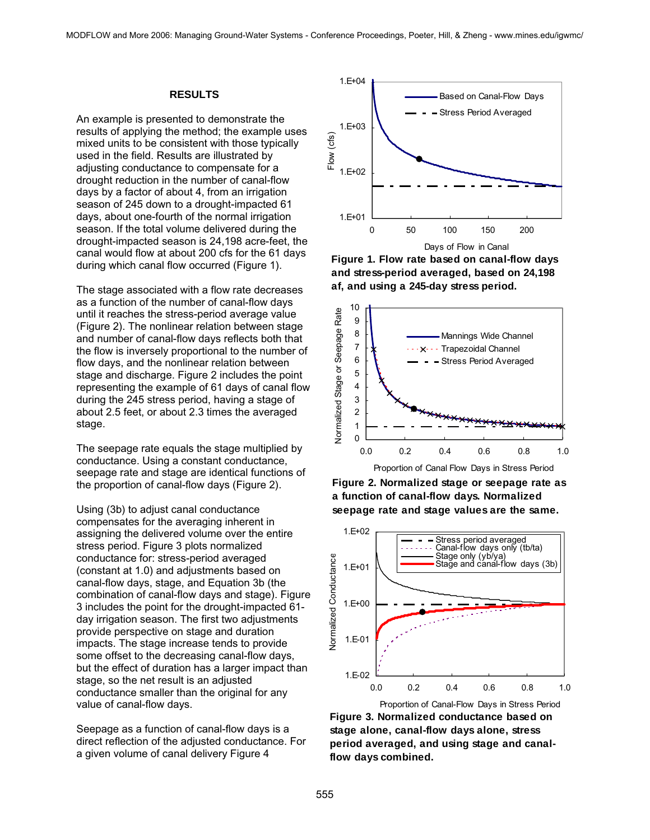#### **RESULTS**

An example is presented to demonstrate the results of applying the method; the example uses mixed units to be consistent with those typically used in the field. Results are illustrated by adjusting conductance to compensate for a drought reduction in the number of canal-flow days by a factor of about 4, from an irrigation season of 245 down to a drought-impacted 61 days, about one-fourth of the normal irrigation season. If the total volume delivered during the drought-impacted season is 24,198 acre-feet, the canal would flow at about 200 cfs for the 61 days during which canal flow occurred (Figure 1).

The stage associated with a flow rate decreases as a function of the number of canal-flow days until it reaches the stress-period average value (Figure 2). The nonlinear relation between stage and number of canal-flow days reflects both that the flow is inversely proportional to the number of flow days, and the nonlinear relation between stage and discharge. Figure 2 includes the point representing the example of 61 days of canal flow during the 245 stress period, having a stage of about 2.5 feet, or about 2.3 times the averaged stage.

The seepage rate equals the stage multiplied by conductance. Using a constant conductance, seepage rate and stage are identical functions of the proportion of canal-flow days (Figure 2).

Using (3b) to adjust canal conductance compensates for the averaging inherent in assigning the delivered volume over the entire stress period. Figure 3 plots normalized conductance for: stress-period averaged (constant at 1.0) and adjustments based on canal-flow days, stage, and Equation 3b (the combination of canal-flow days and stage). Figure 3 includes the point for the drought-impacted 61 day irrigation season. The first two adjustments provide perspective on stage and duration impacts. The stage increase tends to provide some offset to the decreasing canal-flow days, but the effect of duration has a larger impact than stage, so the net result is an adjusted conductance smaller than the original for any value of canal-flow days.

Seepage as a function of canal-flow days is a direct reflection of the adjusted conductance. For a given volume of canal delivery Figure 4



**Figure 1. Flow rate based on canal-flow days and stress-period averaged, based on 24,198 af, and using a 245-day stress period.**



Proportion of Canal Flow Days in Stress Period

**Figure 2. Normalized stage or seepage rate as a function of canal-flow days. Normalized seepage rate and stage values are the same.**



**Figure 3. Normalized conductance based on stage alone, canal-flow days alone, stress period averaged, and using stage and canalflow days combined.**